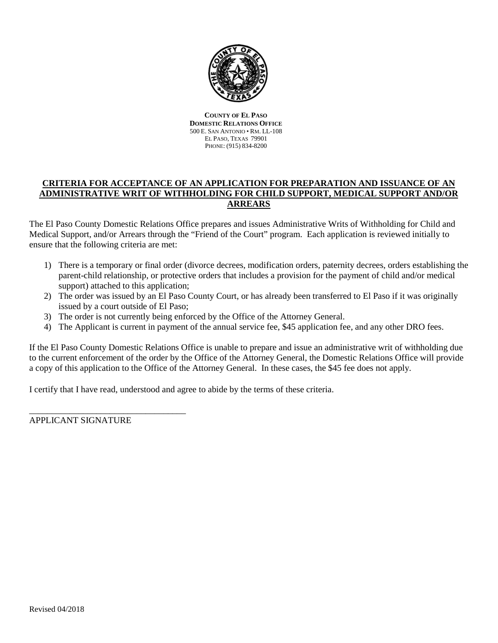

**COUNTY OF EL PASO DOMESTIC RELATIONS OFFICE** 500 E. SAN ANTONIO • RM. LL-108 EL PASO, TEXAS 79901 PHONE: (915) 834-8200

# **CRITERIA FOR ACCEPTANCE OF AN APPLICATION FOR PREPARATION AND ISSUANCE OF AN ADMINISTRATIVE WRIT OF WITHHOLDING FOR CHILD SUPPORT, MEDICAL SUPPORT AND/OR ARREARS**

The El Paso County Domestic Relations Office prepares and issues Administrative Writs of Withholding for Child and Medical Support, and/or Arrears through the "Friend of the Court" program. Each application is reviewed initially to ensure that the following criteria are met:

- 1) There is a temporary or final order (divorce decrees, modification orders, paternity decrees, orders establishing the parent-child relationship, or protective orders that includes a provision for the payment of child and/or medical support) attached to this application;
- 2) The order was issued by an El Paso County Court, or has already been transferred to El Paso if it was originally issued by a court outside of El Paso;
- 3) The order is not currently being enforced by the Office of the Attorney General.
- 4) The Applicant is current in payment of the annual service fee, \$45 application fee, and any other DRO fees.

If the El Paso County Domestic Relations Office is unable to prepare and issue an administrative writ of withholding due to the current enforcement of the order by the Office of the Attorney General, the Domestic Relations Office will provide a copy of this application to the Office of the Attorney General. In these cases, the \$45 fee does not apply.

I certify that I have read, understood and agree to abide by the terms of these criteria.

APPLICANT SIGNATURE

\_\_\_\_\_\_\_\_\_\_\_\_\_\_\_\_\_\_\_\_\_\_\_\_\_\_\_\_\_\_\_\_\_\_\_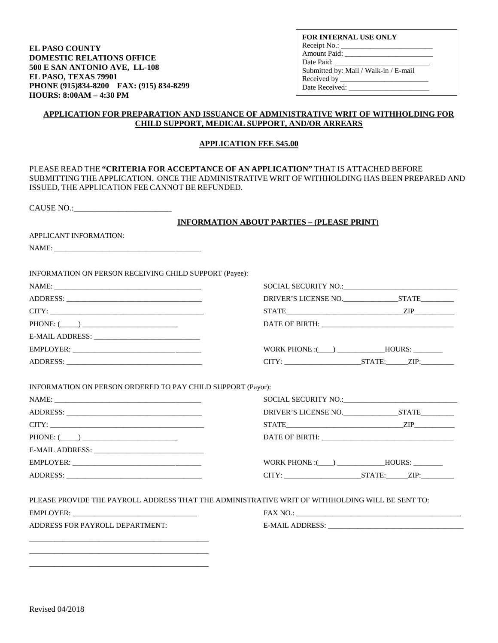**EL PASO COUNTY DOMESTIC RELATIONS OFFICE 500 E SAN ANTONIO AVE, LL-108 EL PASO, TEXAS 79901 PHONE (915)834-8200 FAX: (915) 834-8299 HOURS: 8:00AM – 4:30 PM** 

**FOR INTERNAL USE ONLY** Receipt No.: \_ Amount Paid: \_\_\_\_\_\_\_\_\_\_\_\_\_\_\_\_\_\_\_\_\_\_\_\_ Date Paid: Submitted by: Mail / Walk-in / E-mail Received by \_\_\_\_\_\_\_\_\_\_\_\_\_\_\_\_\_\_\_\_\_\_\_\_ Date Received:

### **APPLICATION FOR PREPARATION AND ISSUANCE OF ADMINISTRATIVE WRIT OF WITHHOLDING FOR CHILD SUPPORT, MEDICAL SUPPORT, AND/OR ARREARS**

#### **APPLICATION FEE \$45.00**

| CAUSE NO.:                                                  |                                                                                                 |
|-------------------------------------------------------------|-------------------------------------------------------------------------------------------------|
|                                                             | <b>INFORMATION ABOUT PARTIES - (PLEASE PRINT)</b>                                               |
| APPLICANT INFORMATION:                                      |                                                                                                 |
| NAME: NAME                                                  |                                                                                                 |
| INFORMATION ON PERSON RECEIVING CHILD SUPPORT (Payee):      |                                                                                                 |
|                                                             |                                                                                                 |
|                                                             |                                                                                                 |
| CITY:                                                       |                                                                                                 |
| $PHONE: (\_\_)$                                             | DATE OF BIRTH:                                                                                  |
|                                                             |                                                                                                 |
|                                                             |                                                                                                 |
| ADDRESS:                                                    | CITY: STATE: ZIP:                                                                               |
| INFORMATION ON PERSON ORDERED TO PAY CHILD SUPPORT (Payor): |                                                                                                 |
|                                                             | SOCIAL SECURITY NO.: NORTH SOCIAL SECURITY NO                                                   |
|                                                             |                                                                                                 |
|                                                             | $STATE$ $ZIP$                                                                                   |
| $\text{PHONE: } (\_\_) \_\_$                                |                                                                                                 |
|                                                             |                                                                                                 |
| EMPLOYER:                                                   |                                                                                                 |
|                                                             | $CITY:$ $STATE:$ $ZIP:$                                                                         |
|                                                             |                                                                                                 |
|                                                             |                                                                                                 |
|                                                             | PLEASE PROVIDE THE PAYROLL ADDRESS THAT THE ADMINISTRATIVE WRIT OF WITHHOLDING WILL BE SENT TO: |
|                                                             |                                                                                                 |

\_\_\_\_\_\_\_\_\_\_\_\_\_\_\_\_\_\_\_\_\_\_\_\_\_\_\_\_\_\_\_\_\_\_\_\_\_\_\_\_\_\_\_\_\_\_\_\_\_